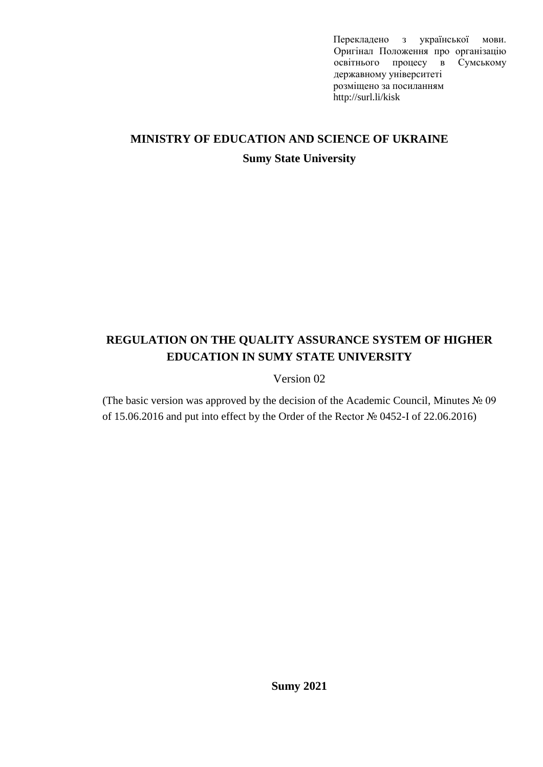Перекладено з української мови. Оригінал Положення про організацію освітнього процесу в Сумському державному університеті розміщено за посиланням http://surl.li/kisk

# **MINISTRY OF EDUCATION AND SCIENCE OF UKRAINE Sumy State University**

## **REGULATION ON THE QUALITY ASSURANCE SYSTEM OF HIGHER EDUCATION IN SUMY STATE UNIVERSITY**

Version 02

(The basic version was approved by the decision of the Academic Council, Minutes № 09 of 15.06.2016 and put into effect by the Order of the Rector № 0452-I of 22.06.2016)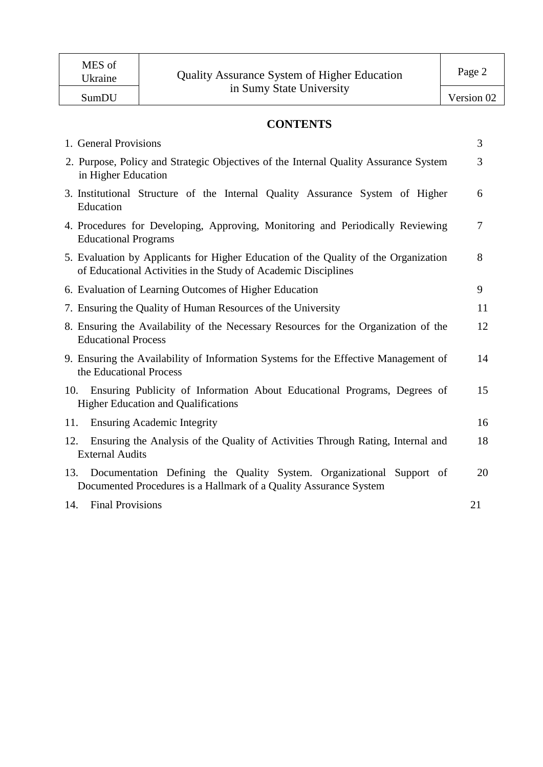## **CONTENTS**

|     | 1. General Provisions                                                                                                                                 | 3              |
|-----|-------------------------------------------------------------------------------------------------------------------------------------------------------|----------------|
|     | 2. Purpose, Policy and Strategic Objectives of the Internal Quality Assurance System<br>in Higher Education                                           | 3              |
|     | 3. Institutional Structure of the Internal Quality Assurance System of Higher<br>Education                                                            | 6              |
|     | 4. Procedures for Developing, Approving, Monitoring and Periodically Reviewing<br><b>Educational Programs</b>                                         | $\overline{7}$ |
|     | 5. Evaluation by Applicants for Higher Education of the Quality of the Organization<br>of Educational Activities in the Study of Academic Disciplines | 8              |
|     | 6. Evaluation of Learning Outcomes of Higher Education                                                                                                | 9              |
|     | 7. Ensuring the Quality of Human Resources of the University                                                                                          | 11             |
|     | 8. Ensuring the Availability of the Necessary Resources for the Organization of the<br><b>Educational Process</b>                                     | 12             |
|     | 9. Ensuring the Availability of Information Systems for the Effective Management of<br>the Educational Process                                        | 14             |
| 10. | Ensuring Publicity of Information About Educational Programs, Degrees of<br><b>Higher Education and Qualifications</b>                                | 15             |
| 11. | <b>Ensuring Academic Integrity</b>                                                                                                                    | 16             |
| 12. | Ensuring the Analysis of the Quality of Activities Through Rating, Internal and<br><b>External Audits</b>                                             | 18             |
| 13. | Documentation Defining the Quality System. Organizational Support of<br>Documented Procedures is a Hallmark of a Quality Assurance System             | 20             |
| 14. | <b>Final Provisions</b>                                                                                                                               | 21             |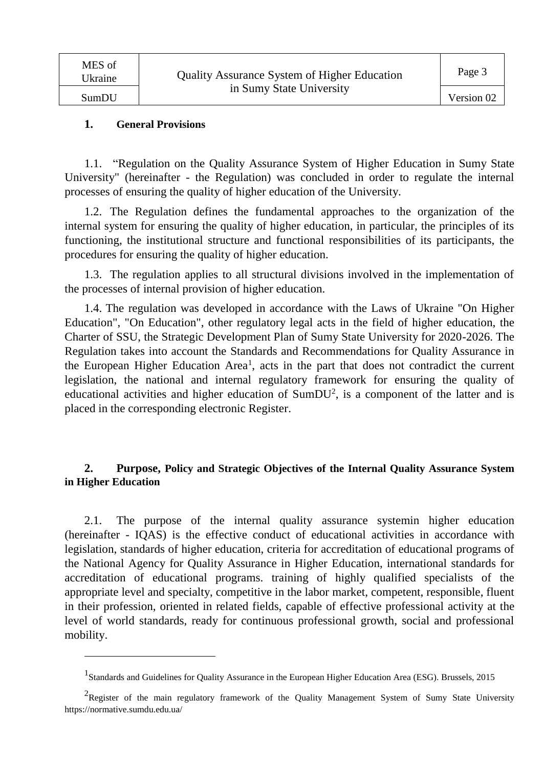#### **1. General Provisions**

 $\overline{a}$ 

1.1. "Regulation on the Quality Assurance System of Higher Education in Sumy State University" (hereinafter - the Regulation) was concluded in order to regulate the internal processes of ensuring the quality of higher education of the University.

1.2. The Regulation defines the fundamental approaches to the organization of the internal system for ensuring the quality of higher education, in particular, the principles of its functioning, the institutional structure and functional responsibilities of its participants, the procedures for ensuring the quality of higher education.

1.3. The regulation applies to all structural divisions involved in the implementation of the processes of internal provision of higher education.

1.4. The regulation was developed in accordance with the Laws of Ukraine "On Higher Education", "On Education", other regulatory legal acts in the field of higher education, the Charter of SSU, the Strategic Development Plan of Sumy State University for 2020-2026. The Regulation takes into account the Standards and Recommendations for Quality Assurance in the European Higher Education Area<sup>1</sup>, acts in the part that does not contradict the current legislation, the national and internal regulatory framework for ensuring the quality of educational activities and higher education of  $SumDU<sup>2</sup>$ , is a component of the latter and is placed in the corresponding electronic Register.

#### **2. Purpose, Policy and Strategic Objectives of the Internal Quality Assurance System in Higher Education**

2.1. The purpose of the internal quality assurance systemin higher education (hereinafter - IQAS) is the effective conduct of educational activities in accordance with legislation, standards of higher education, criteria for accreditation of educational programs of the National Agency for Quality Assurance in Higher Education, international standards for accreditation of educational programs. training of highly qualified specialists of the appropriate level and specialty, competitive in the labor market, competent, responsible, fluent in their profession, oriented in related fields, capable of effective professional activity at the level of world standards, ready for continuous professional growth, social and professional mobility.

<sup>&</sup>lt;sup>1</sup> Standards and Guidelines for Quality Assurance in the European Higher Education Area (ESG). Brussels, 2015

<sup>&</sup>lt;sup>2</sup>Register of the main regulatory framework of the Quality Management System of Sumy State University https://normative.sumdu.edu.ua/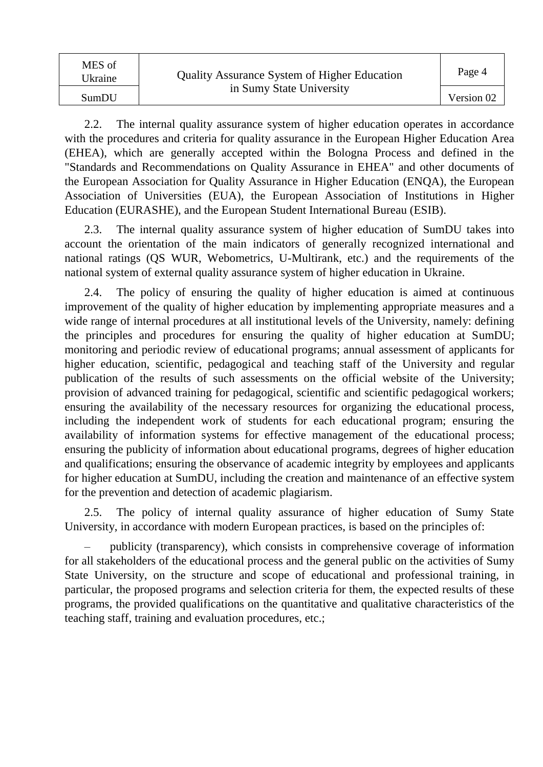| MES of<br>Ukraine | <b>Quality Assurance System of Higher Education</b> | Page 4     |
|-------------------|-----------------------------------------------------|------------|
| SumDU             | in Sumy State University                            | Version 02 |

2.2. The internal quality assurance system of higher education operates in accordance with the procedures and criteria for quality assurance in the European Higher Education Area (EHEA), which are generally accepted within the Bologna Process and defined in the "Standards and Recommendations on Quality Assurance in EHEA" and other documents of the European Association for Quality Assurance in Higher Education (ENQA), the European Association of Universities (EUA), the European Association of Institutions in Higher Education (EURASHE), and the European Student International Bureau (ESIB).

2.3. The internal quality assurance system of higher education of SumDU takes into account the orientation of the main indicators of generally recognized international and national ratings (QS WUR, Webometrics, U-Multirank, etc.) and the requirements of the national system of external quality assurance system of higher education in Ukraine.

2.4. The policy of ensuring the quality of higher education is aimed at continuous improvement of the quality of higher education by implementing appropriate measures and a wide range of internal procedures at all institutional levels of the University, namely: defining the principles and procedures for ensuring the quality of higher education at SumDU; monitoring and periodic review of educational programs; annual assessment of applicants for higher education, scientific, pedagogical and teaching staff of the University and regular publication of the results of such assessments on the official website of the University; provision of advanced training for pedagogical, scientific and scientific pedagogical workers; ensuring the availability of the necessary resources for organizing the educational process, including the independent work of students for each educational program; ensuring the availability of information systems for effective management of the educational process; ensuring the publicity of information about educational programs, degrees of higher education and qualifications; ensuring the observance of academic integrity by employees and applicants for higher education at SumDU, including the creation and maintenance of an effective system for the prevention and detection of academic plagiarism.

2.5. The policy of internal quality assurance of higher education of Sumy State University, in accordance with modern European practices, is based on the principles of:

– publicity (transparency), which consists in comprehensive coverage of information for all stakeholders of the educational process and the general public on the activities of Sumy State University, on the structure and scope of educational and professional training, in particular, the proposed programs and selection criteria for them, the expected results of these programs, the provided qualifications on the quantitative and qualitative characteristics of the teaching staff, training and evaluation procedures, etc.;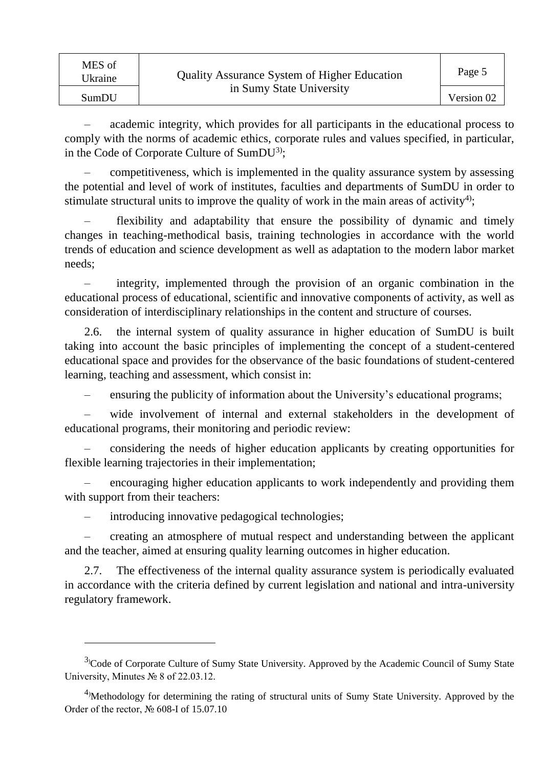| MES of<br>Ukraine | <b>Quality Assurance System of Higher Education</b><br>in Sumy State University | Page 5     |
|-------------------|---------------------------------------------------------------------------------|------------|
| SumDU             |                                                                                 | Version 02 |

– academic integrity, which provides for all participants in the educational process to comply with the norms of academic ethics, corporate rules and values specified, in particular, in the Code of Corporate Culture of SumDU<sup>3)</sup>;

– competitiveness, which is implemented in the quality assurance system by assessing the potential and level of work of institutes, faculties and departments of SumDU in order to stimulate structural units to improve the quality of work in the main areas of activity<sup>4</sup>);

– flexibility and adaptability that ensure the possibility of dynamic and timely changes in teaching-methodical basis, training technologies in accordance with the world trends of education and science development as well as adaptation to the modern labor market needs;

– integrity, implemented through the provision of an organic combination in the educational process of educational, scientific and innovative components of activity, as well as consideration of interdisciplinary relationships in the content and structure of courses.

2.6. the internal system of quality assurance in higher education of SumDU is built taking into account the basic principles of implementing the concept of a student-centered educational space and provides for the observance of the basic foundations of student-centered learning, teaching and assessment, which consist in:

– ensuring the publicity of information about the University's educational programs;

– wide involvement of internal and external stakeholders in the development of educational programs, their monitoring and periodic review:

– considering the needs of higher education applicants by creating opportunities for flexible learning trajectories in their implementation;

– encouraging higher education applicants to work independently and providing them with support from their teachers:

introducing innovative pedagogical technologies;

 $\overline{a}$ 

– creating an atmosphere of mutual respect and understanding between the applicant and the teacher, aimed at ensuring quality learning outcomes in higher education.

2.7. The effectiveness of the internal quality assurance system is periodically evaluated in accordance with the criteria defined by current legislation and national and intra-university regulatory framework.

 $3$ <sup>3</sup>Code of Corporate Culture of Sumy State University. Approved by the Academic Council of Sumy State University, Minutes № 8 of 22.03.12.

 $4$ <sup>)</sup>Methodology for determining the rating of structural units of Sumy State University. Approved by the Order of the rector, № 608-I of 15.07.10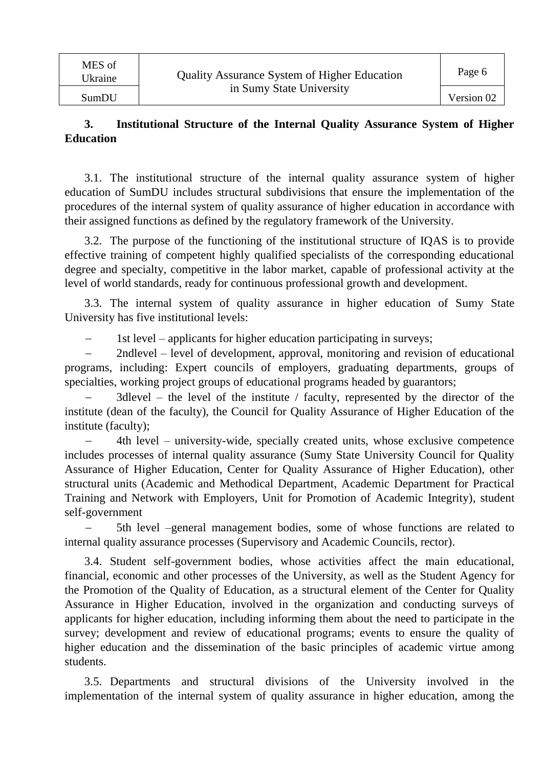#### **3. Institutional Structure of the Internal Quality Assurance System of Higher Education**

3.1. The institutional structure of the internal quality assurance system of higher education of SumDU includes structural subdivisions that ensure the implementation of the procedures of the internal system of quality assurance of higher education in accordance with their assigned functions as defined by the regulatory framework of the University.

3.2. The purpose of the functioning of the institutional structure of IQAS is to provide effective training of competent highly qualified specialists of the corresponding educational degree and specialty, competitive in the labor market, capable of professional activity at the level of world standards, ready for continuous professional growth and development.

3.3. The internal system of quality assurance in higher education of Sumy State University has five institutional levels:

1st level – applicants for higher education participating in surveys;

 2ndlevel – level of development, approval, monitoring and revision of educational programs, including: Expert councils of employers, graduating departments, groups of specialties, working project groups of educational programs headed by guarantors;

 3dlevel – the level of the institute / faculty, represented by the director of the institute (dean of the faculty), the Council for Quality Assurance of Higher Education of the institute (faculty);

 4th level – university-wide, specially created units, whose exclusive competence includes processes of internal quality assurance (Sumy State University Council for Quality Assurance of Higher Education, Center for Quality Assurance of Higher Education), other structural units (Academic and Methodical Department, Academic Department for Practical Training and Network with Employers, Unit for Promotion of Academic Integrity), student self-government

 5th level –general management bodies, some of whose functions are related to internal quality assurance processes (Supervisory and Academic Councils, rector).

3.4. Student self-government bodies, whose activities affect the main educational, financial, economic and other processes of the University, as well as the Student Agency for the Promotion of the Quality of Education, as a structural element of the Center for Quality Assurance in Higher Education, involved in the organization and conducting surveys of applicants for higher education, including informing them about the need to participate in the survey; development and review of educational programs; events to ensure the quality of higher education and the dissemination of the basic principles of academic virtue among students.

3.5. Departments and structural divisions of the University involved in the implementation of the internal system of quality assurance in higher education, among the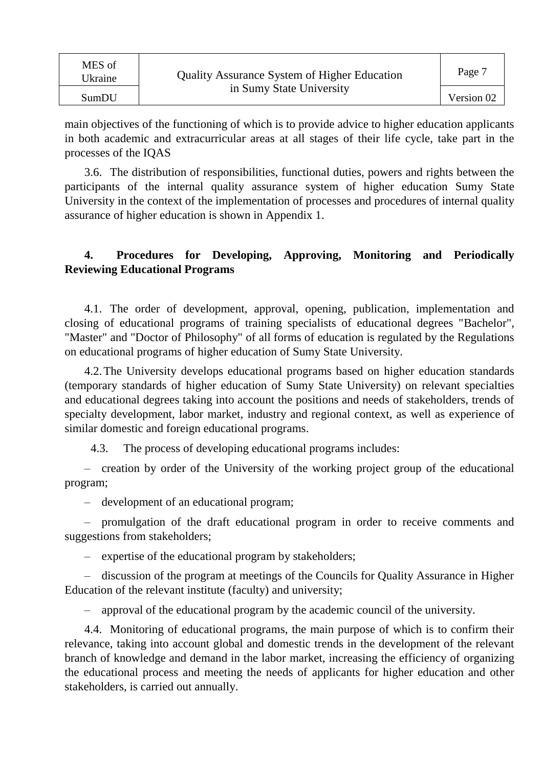| MES of<br>Ukraine | <b>Quality Assurance System of Higher Education</b> | Page 7     |
|-------------------|-----------------------------------------------------|------------|
| SumDU             | in Sumy State University                            | Version 02 |

main objectives of the functioning of which is to provide advice to higher education applicants in both academic and extracurricular areas at all stages of their life cycle, take part in the processes of the IQAS

3.6. The distribution of responsibilities, functional duties, powers and rights between the participants of the internal quality assurance system of higher education Sumy State University in the context of the implementation of processes and procedures of internal quality assurance of higher education is shown in Appendix 1.

#### **4. Procedures for Developing, Approving, Monitoring and Periodically Reviewing Educational Programs**

4.1. The order of development, approval, opening, publication, implementation and closing of educational programs of training specialists of educational degrees "Bachelor", "Master" and "Doctor of Philosophy" of all forms of education is regulated by the Regulations on educational programs of higher education of Sumy State University.

4.2.The University develops educational programs based on higher education standards (temporary standards of higher education of Sumy State University) on relevant specialties and educational degrees taking into account the positions and needs of stakeholders, trends of specialty development, labor market, industry and regional context, as well as experience of similar domestic and foreign educational programs.

4.3. The process of developing educational programs includes:

– creation by order of the University of the working project group of the educational program;

– development of an educational program;

– promulgation of the draft educational program in order to receive comments and suggestions from stakeholders;

– expertise of the educational program by stakeholders;

– discussion of the program at meetings of the Councils for Quality Assurance in Higher Education of the relevant institute (faculty) and university;

– approval of the educational program by the academic council of the university.

4.4. Monitoring of educational programs, the main purpose of which is to confirm their relevance, taking into account global and domestic trends in the development of the relevant branch of knowledge and demand in the labor market, increasing the efficiency of organizing the educational process and meeting the needs of applicants for higher education and other stakeholders, is carried out annually.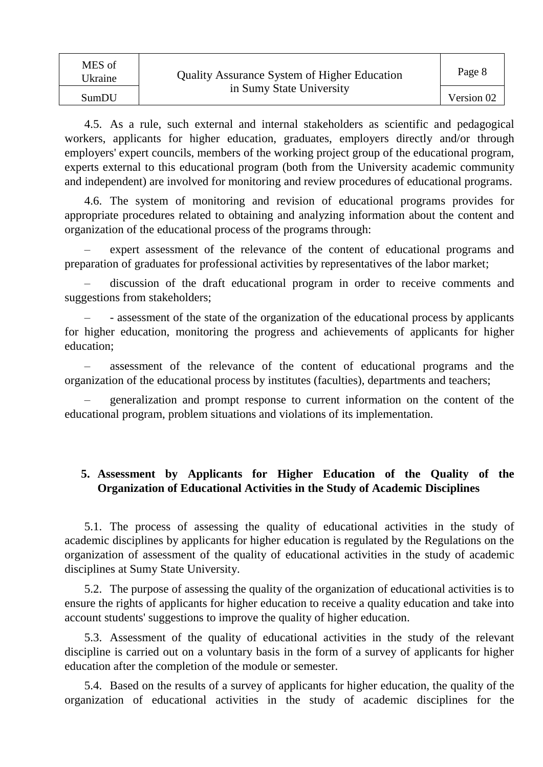| MES of<br>Ukraine | <b>Quality Assurance System of Higher Education</b> | Page 8     |
|-------------------|-----------------------------------------------------|------------|
| SumDU             | in Sumy State University                            | Version 02 |

4.5. As a rule, such external and internal stakeholders as scientific and pedagogical workers, applicants for higher education, graduates, employers directly and/or through employers' expert councils, members of the working project group of the educational program, experts external to this educational program (both from the University academic community and independent) are involved for monitoring and review procedures of educational programs.

4.6. The system of monitoring and revision of educational programs provides for appropriate procedures related to obtaining and analyzing information about the content and organization of the educational process of the programs through:

– expert assessment of the relevance of the content of educational programs and preparation of graduates for professional activities by representatives of the labor market;

– discussion of the draft educational program in order to receive comments and suggestions from stakeholders;

– - assessment of the state of the organization of the educational process by applicants for higher education, monitoring the progress and achievements of applicants for higher education;

– assessment of the relevance of the content of educational programs and the organization of the educational process by institutes (faculties), departments and teachers;

– generalization and prompt response to current information on the content of the educational program, problem situations and violations of its implementation.

#### **5. Assessment by Applicants for Higher Education of the Quality of the Organization of Educational Activities in the Study of Academic Disciplines**

5.1. The process of assessing the quality of educational activities in the study of academic disciplines by applicants for higher education is regulated by the Regulations on the organization of assessment of the quality of educational activities in the study of academic disciplines at Sumy State University.

5.2. The purpose of assessing the quality of the organization of educational activities is to ensure the rights of applicants for higher education to receive a quality education and take into account students' suggestions to improve the quality of higher education.

5.3. Assessment of the quality of educational activities in the study of the relevant discipline is carried out on a voluntary basis in the form of a survey of applicants for higher education after the completion of the module or semester.

5.4. Based on the results of a survey of applicants for higher education, the quality of the organization of educational activities in the study of academic disciplines for the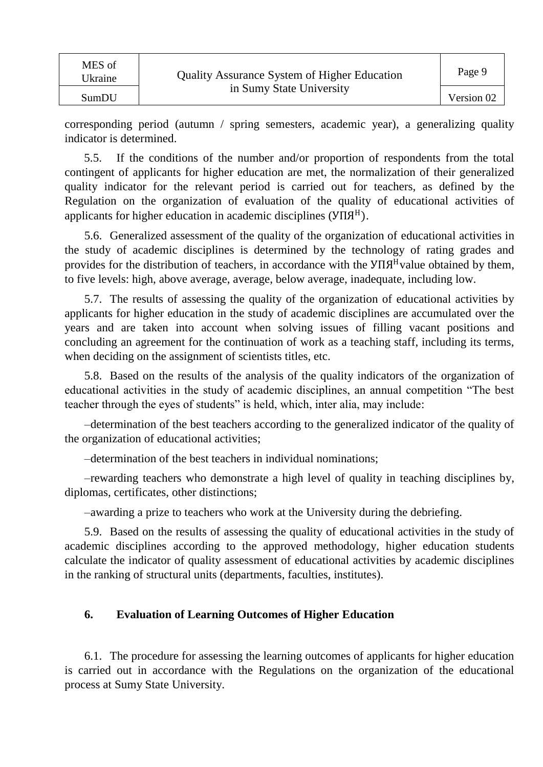| MES of<br>Ukraine | <b>Quality Assurance System of Higher Education</b> | Page 9     |
|-------------------|-----------------------------------------------------|------------|
| SumDU             | in Sumy State University                            | Version 02 |

corresponding period (autumn / spring semesters, academic year), a generalizing quality indicator is determined.

5.5. If the conditions of the number and/or proportion of respondents from the total contingent of applicants for higher education are met, the normalization of their generalized quality indicator for the relevant period is carried out for teachers, as defined by the Regulation on the organization of evaluation of the quality of educational activities of applicants for higher education in academic disciplines ( $Y\Pi A^{H}$ ).

5.6. Generalized assessment of the quality of the organization of educational activities in the study of academic disciplines is determined by the technology of rating grades and provides for the distribution of teachers, in accordance with the  $Y\Pi A^H$ value obtained by them, to five levels: high, above average, average, below average, inadequate, including low.

5.7. The results of assessing the quality of the organization of educational activities by applicants for higher education in the study of academic disciplines are accumulated over the years and are taken into account when solving issues of filling vacant positions and concluding an agreement for the continuation of work as a teaching staff, including its terms, when deciding on the assignment of scientists titles, etc.

5.8. Based on the results of the analysis of the quality indicators of the organization of educational activities in the study of academic disciplines, an annual competition "The best teacher through the eyes of students" is held, which, inter alia, may include:

–determination of the best teachers according to the generalized indicator of the quality of the organization of educational activities;

–determination of the best teachers in individual nominations;

–rewarding teachers who demonstrate a high level of quality in teaching disciplines by, diplomas, certificates, other distinctions;

–awarding a prize to teachers who work at the University during the debriefing.

5.9. Based on the results of assessing the quality of educational activities in the study of academic disciplines according to the approved methodology, higher education students calculate the indicator of quality assessment of educational activities by academic disciplines in the ranking of structural units (departments, faculties, institutes).

#### **6. Evaluation of Learning Outcomes of Higher Education**

6.1. The procedure for assessing the learning outcomes of applicants for higher education is carried out in accordance with the Regulations on the organization of the educational process at Sumy State University.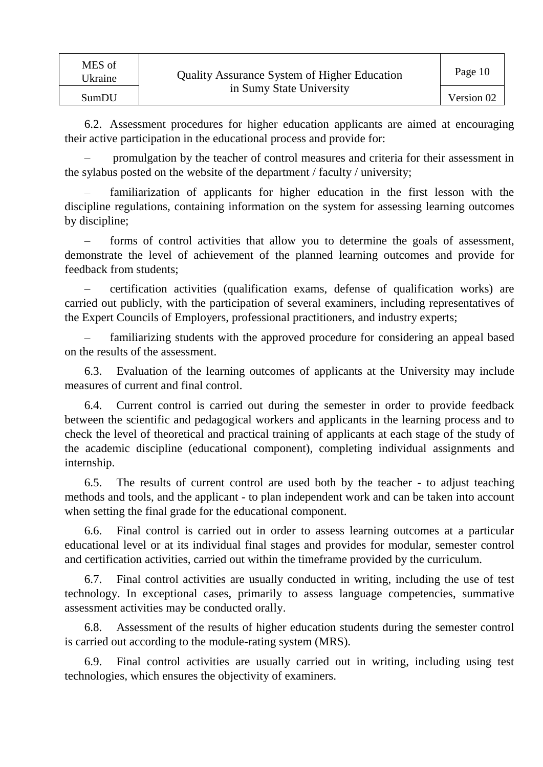6.2. Assessment procedures for higher education applicants are aimed at encouraging their active participation in the educational process and provide for:

– promulgation by the teacher of control measures and criteria for their assessment in the sylabus posted on the website of the department / faculty / university;

– familiarization of applicants for higher education in the first lesson with the discipline regulations, containing information on the system for assessing learning outcomes by discipline;

– forms of control activities that allow you to determine the goals of assessment, demonstrate the level of achievement of the planned learning outcomes and provide for feedback from students;

– certification activities (qualification exams, defense of qualification works) are carried out publicly, with the participation of several examiners, including representatives of the Expert Councils of Employers, professional practitioners, and industry experts;

– familiarizing students with the approved procedure for considering an appeal based on the results of the assessment.

6.3. Evaluation of the learning outcomes of applicants at the University may include measures of current and final control.

6.4. Current control is carried out during the semester in order to provide feedback between the scientific and pedagogical workers and applicants in the learning process and to check the level of theoretical and practical training of applicants at each stage of the study of the academic discipline (educational component), completing individual assignments and internship.

6.5. The results of current control are used both by the teacher - to adjust teaching methods and tools, and the applicant - to plan independent work and can be taken into account when setting the final grade for the educational component.

6.6. Final control is carried out in order to assess learning outcomes at a particular educational level or at its individual final stages and provides for modular, semester control and certification activities, carried out within the timeframe provided by the curriculum.

6.7. Final control activities are usually conducted in writing, including the use of test technology. In exceptional cases, primarily to assess language competencies, summative assessment activities may be conducted orally.

6.8. Assessment of the results of higher education students during the semester control is carried out according to the module-rating system (MRS).

6.9. Final control activities are usually carried out in writing, including using test technologies, which ensures the objectivity of examiners.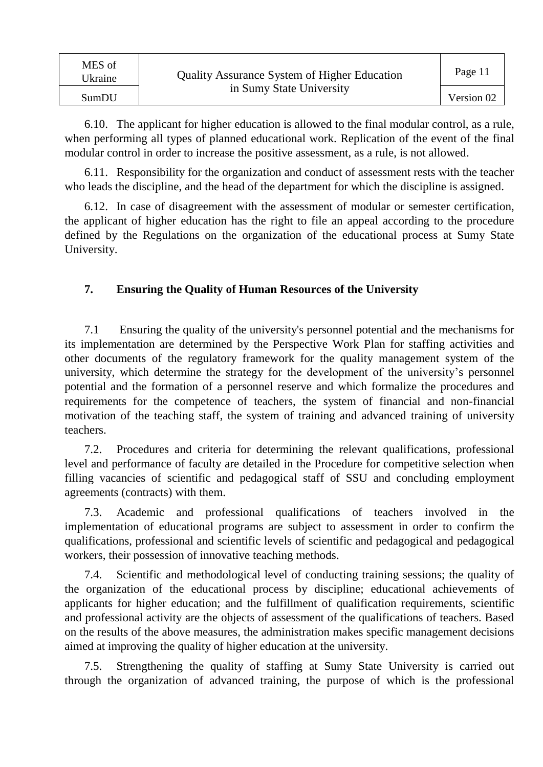| MES of<br>Ukraine | <b>Quality Assurance System of Higher Education</b> | Page 11    |
|-------------------|-----------------------------------------------------|------------|
| SumDU             | in Sumy State University                            | Version 02 |

6.10. The applicant for higher education is allowed to the final modular control, as a rule, when performing all types of planned educational work. Replication of the event of the final modular control in order to increase the positive assessment, as a rule, is not allowed.

6.11. Responsibility for the organization and conduct of assessment rests with the teacher who leads the discipline, and the head of the department for which the discipline is assigned.

6.12. In case of disagreement with the assessment of modular or semester certification, the applicant of higher education has the right to file an appeal according to the procedure defined by the Regulations on the organization of the educational process at Sumy State University.

#### **7. Ensuring the Quality of Human Resources of the University**

7.1 Ensuring the quality of the university's personnel potential and the mechanisms for its implementation are determined by the Perspective Work Plan for staffing activities and other documents of the regulatory framework for the quality management system of the university, which determine the strategy for the development of the university's personnel potential and the formation of a personnel reserve and which formalize the procedures and requirements for the competence of teachers, the system of financial and non-financial motivation of the teaching staff, the system of training and advanced training of university teachers.

7.2. Procedures and criteria for determining the relevant qualifications, professional level and performance of faculty are detailed in the Procedure for competitive selection when filling vacancies of scientific and pedagogical staff of SSU and concluding employment agreements (contracts) with them.

7.3. Academic and professional qualifications of teachers involved in the implementation of educational programs are subject to assessment in order to confirm the qualifications, professional and scientific levels of scientific and pedagogical and pedagogical workers, their possession of innovative teaching methods.

7.4. Scientific and methodological level of conducting training sessions; the quality of the organization of the educational process by discipline; educational achievements of applicants for higher education; and the fulfillment of qualification requirements, scientific and professional activity are the objects of assessment of the qualifications of teachers. Based on the results of the above measures, the administration makes specific management decisions aimed at improving the quality of higher education at the university.

7.5. Strengthening the quality of staffing at Sumy State University is carried out through the organization of advanced training, the purpose of which is the professional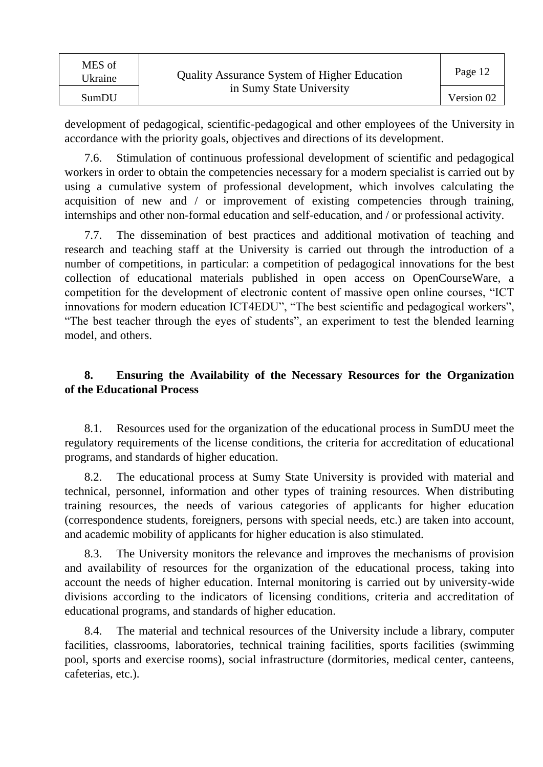| MES of<br>Ukraine | <b>Quality Assurance System of Higher Education</b> | Page 12    |
|-------------------|-----------------------------------------------------|------------|
| SumDU             | in Sumy State University                            | Version 02 |

development of pedagogical, scientific-pedagogical and other employees of the University in accordance with the priority goals, objectives and directions of its development.

7.6. Stimulation of continuous professional development of scientific and pedagogical workers in order to obtain the competencies necessary for a modern specialist is carried out by using a cumulative system of professional development, which involves calculating the acquisition of new and / or improvement of existing competencies through training, internships and other non-formal education and self-education, and / or professional activity.

7.7. The dissemination of best practices and additional motivation of teaching and research and teaching staff at the University is carried out through the introduction of a number of competitions, in particular: a competition of pedagogical innovations for the best collection of educational materials published in open access on OpenCourseWare, a competition for the development of electronic content of massive open online courses, "ICT innovations for modern education ICT4EDU", "The best scientific and pedagogical workers", "The best teacher through the eyes of students", an experiment to test the blended learning model, and others.

## **8. Ensuring the Availability of the Necessary Resources for the Organization of the Educational Process**

8.1. Resources used for the organization of the educational process in SumDU meet the regulatory requirements of the license conditions, the criteria for accreditation of educational programs, and standards of higher education.

8.2. The educational process at Sumy State University is provided with material and technical, personnel, information and other types of training resources. When distributing training resources, the needs of various categories of applicants for higher education (correspondence students, foreigners, persons with special needs, etc.) are taken into account, and academic mobility of applicants for higher education is also stimulated.

8.3. The University monitors the relevance and improves the mechanisms of provision and availability of resources for the organization of the educational process, taking into account the needs of higher education. Internal monitoring is carried out by university-wide divisions according to the indicators of licensing conditions, criteria and accreditation of educational programs, and standards of higher education.

8.4. The material and technical resources of the University include a library, computer facilities, classrooms, laboratories, technical training facilities, sports facilities (swimming pool, sports and exercise rooms), social infrastructure (dormitories, medical center, canteens, cafeterias, etc.).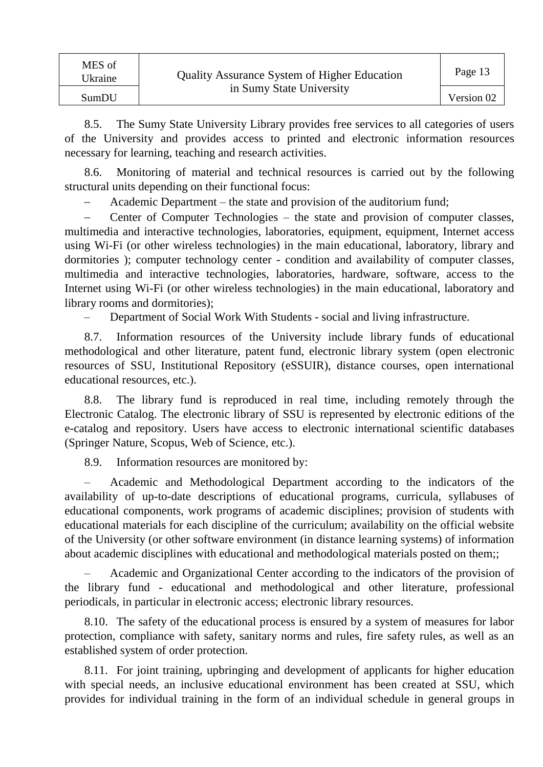| MES of<br>Ukraine | <b>Quality Assurance System of Higher Education</b> | Page 13    |
|-------------------|-----------------------------------------------------|------------|
| SumDU             | in Sumy State University                            | Version 02 |

8.5. The Sumy State University Library provides free services to all categories of users of the University and provides access to printed and electronic information resources necessary for learning, teaching and research activities.

8.6. Monitoring of material and technical resources is carried out by the following structural units depending on their functional focus:

Academic Department – the state and provision of the auditorium fund;

 Center of Computer Technologies – the state and provision of computer classes, multimedia and interactive technologies, laboratories, equipment, equipment, Internet access using Wi-Fi (or other wireless technologies) in the main educational, laboratory, library and dormitories ); computer technology center - condition and availability of computer classes, multimedia and interactive technologies, laboratories, hardware, software, access to the Internet using Wi-Fi (or other wireless technologies) in the main educational, laboratory and library rooms and dormitories);

– Department of Social Work With Students - social and living infrastructure.

8.7. Information resources of the University include library funds of educational methodological and other literature, patent fund, electronic library system (open electronic resources of SSU, Institutional Repository (eSSUIR), distance courses, open international educational resources, etc.).

8.8. The library fund is reproduced in real time, including remotely through the Electronic Catalog. The electronic library of SSU is represented by electronic editions of the e-catalog and repository. Users have access to electronic international scientific databases (Springer Nature, Scopus, Web of Science, etc.).

8.9. Information resources are monitored by:

– Academic and Methodological Department according to the indicators of the availability of up-to-date descriptions of educational programs, curricula, syllabuses of educational components, work programs of academic disciplines; provision of students with educational materials for each discipline of the curriculum; availability on the official website of the University (or other software environment (in distance learning systems) of information about academic disciplines with educational and methodological materials posted on them;;

– Academic and Organizational Center according to the indicators of the provision of the library fund - educational and methodological and other literature, professional periodicals, in particular in electronic access; electronic library resources.

8.10. The safety of the educational process is ensured by a system of measures for labor protection, compliance with safety, sanitary norms and rules, fire safety rules, as well as an established system of order protection.

8.11. For joint training, upbringing and development of applicants for higher education with special needs, an inclusive educational environment has been created at SSU, which provides for individual training in the form of an individual schedule in general groups in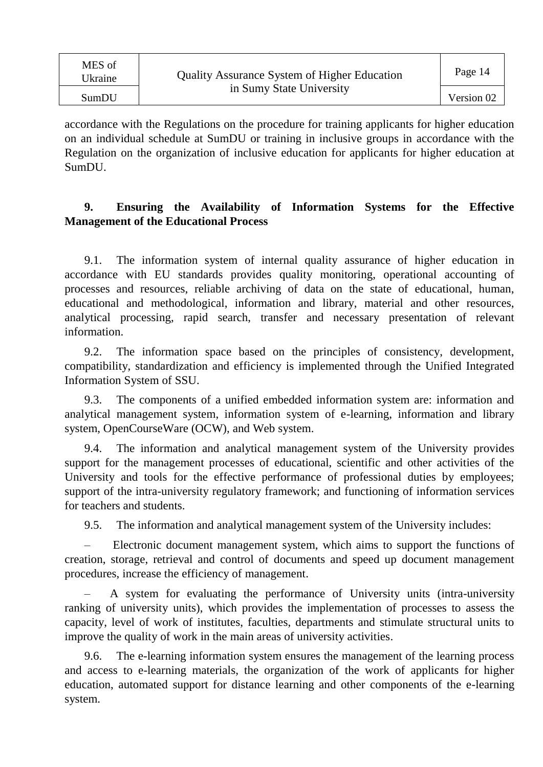| MES of<br>Ukraine | <b>Quality Assurance System of Higher Education</b> | Page 14    |
|-------------------|-----------------------------------------------------|------------|
| SumDU             | in Sumy State University                            | Version 02 |

accordance with the Regulations on the procedure for training applicants for higher education on an individual schedule at SumDU or training in inclusive groups in accordance with the Regulation on the organization of inclusive education for applicants for higher education at SumDU.

#### **9. Ensuring the Availability of Information Systems for the Effective Management of the Educational Process**

9.1. The information system of internal quality assurance of higher education in accordance with EU standards provides quality monitoring, operational accounting of processes and resources, reliable archiving of data on the state of educational, human, educational and methodological, information and library, material and other resources, analytical processing, rapid search, transfer and necessary presentation of relevant information.

9.2. The information space based on the principles of consistency, development, compatibility, standardization and efficiency is implemented through the Unified Integrated Information System of SSU.

9.3. The components of a unified embedded information system are: information and analytical management system, information system of e-learning, information and library system, OpenCourseWare (OCW), and Web system.

9.4. The information and analytical management system of the University provides support for the management processes of educational, scientific and other activities of the University and tools for the effective performance of professional duties by employees; support of the intra-university regulatory framework; and functioning of information services for teachers and students.

9.5. The information and analytical management system of the University includes:

– Electronic document management system, which aims to support the functions of creation, storage, retrieval and control of documents and speed up document management procedures, increase the efficiency of management.

– A system for evaluating the performance of University units (intra-university ranking of university units), which provides the implementation of processes to assess the capacity, level of work of institutes, faculties, departments and stimulate structural units to improve the quality of work in the main areas of university activities.

9.6. The e-learning information system ensures the management of the learning process and access to e-learning materials, the organization of the work of applicants for higher education, automated support for distance learning and other components of the e-learning system.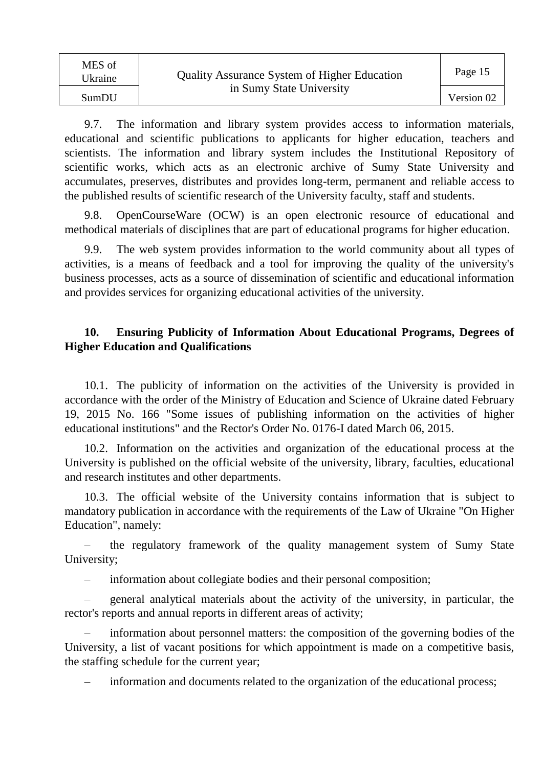| MES of<br>Ukraine | <b>Quality Assurance System of Higher Education</b> | Page 15    |
|-------------------|-----------------------------------------------------|------------|
| SumDU             | in Sumy State University                            | Version 02 |

9.7. The information and library system provides access to information materials, educational and scientific publications to applicants for higher education, teachers and scientists. The information and library system includes the Institutional Repository of scientific works, which acts as an electronic archive of Sumy State University and accumulates, preserves, distributes and provides long-term, permanent and reliable access to the published results of scientific research of the University faculty, staff and students.

9.8. OpenCourseWare (OCW) is an open electronic resource of educational and methodical materials of disciplines that are part of educational programs for higher education.

9.9. The web system provides information to the world community about all types of activities, is a means of feedback and a tool for improving the quality of the university's business processes, acts as a source of dissemination of scientific and educational information and provides services for organizing educational activities of the university.

#### **10. Ensuring Publicity of Information About Educational Programs, Degrees of Higher Education and Qualifications**

10.1. The publicity of information on the activities of the University is provided in accordance with the order of the Ministry of Education and Science of Ukraine dated February 19, 2015 No. 166 "Some issues of publishing information on the activities of higher educational institutions" and the Rector's Order No. 0176-I dated March 06, 2015.

10.2. Information on the activities and organization of the educational process at the University is published on the official website of the university, library, faculties, educational and research institutes and other departments.

10.3. The official website of the University contains information that is subject to mandatory publication in accordance with the requirements of the Law of Ukraine "On Higher Education", namely:

– the regulatory framework of the quality management system of Sumy State University;

– information about collegiate bodies and their personal composition;

– general analytical materials about the activity of the university, in particular, the rector's reports and annual reports in different areas of activity;

– information about personnel matters: the composition of the governing bodies of the University, a list of vacant positions for which appointment is made on a competitive basis, the staffing schedule for the current year;

– information and documents related to the organization of the educational process;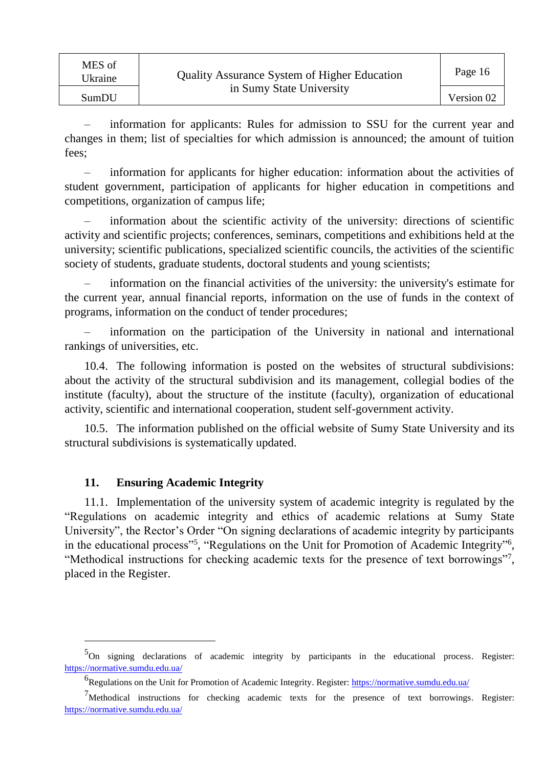| MES of<br>Ukraine | <b>Quality Assurance System of Higher Education</b><br>in Sumy State University | Page 16    |
|-------------------|---------------------------------------------------------------------------------|------------|
| SumDU             |                                                                                 | Version 02 |

– information for applicants: Rules for admission to SSU for the current year and changes in them; list of specialties for which admission is announced; the amount of tuition fees;

– information for applicants for higher education: information about the activities of student government, participation of applicants for higher education in competitions and competitions, organization of campus life;

– information about the scientific activity of the university: directions of scientific activity and scientific projects; conferences, seminars, competitions and exhibitions held at the university; scientific publications, specialized scientific councils, the activities of the scientific society of students, graduate students, doctoral students and young scientists;

– information on the financial activities of the university: the university's estimate for the current year, annual financial reports, information on the use of funds in the context of programs, information on the conduct of tender procedures;

– information on the participation of the University in national and international rankings of universities, etc.

10.4. The following information is posted on the websites of structural subdivisions: about the activity of the structural subdivision and its management, collegial bodies of the institute (faculty), about the structure of the institute (faculty), organization of educational activity, scientific and international cooperation, student self-government activity.

10.5. The information published on the official website of Sumy State University and its structural subdivisions is systematically updated.

#### **11. Ensuring Academic Integrity**

l

11.1. Implementation of the university system of academic integrity is regulated by the "Regulations on academic integrity and ethics of academic relations at Sumy State University", the Rector's Order "On signing declarations of academic integrity by participants in the educational process"<sup>5</sup>, "Regulations on the Unit for Promotion of Academic Integrity"<sup>6</sup>, "Methodical instructions for checking academic texts for the presence of text borrowings"<sup>7</sup>, placed in the Register.

<sup>&</sup>lt;sup>5</sup>On signing declarations of academic integrity by participants in the educational process. Register: [https://normative.sumdu.edu.ua/](http://www.sumdu.edu.ua/ukr/general/normative-base.html)

<sup>&</sup>lt;sup>6</sup> Regulations on the Unit for Promotion of Academic Integrity. Register[: https://normative.sumdu.edu.ua/](http://www.sumdu.edu.ua/ukr/general/normative-base.html)

<sup>7</sup>Methodical instructions for checking academic texts for the presence of text borrowings. Register: [https://normative.sumdu.edu.ua/](http://www.sumdu.edu.ua/ukr/general/normative-base.html)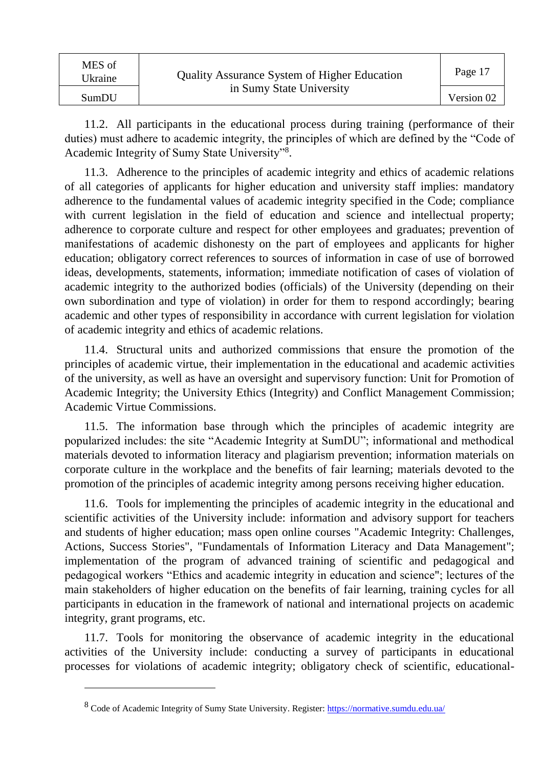| MES of<br>Ukraine | <b>Quality Assurance System of Higher Education</b> | Page 17    |
|-------------------|-----------------------------------------------------|------------|
| SumDU             | in Sumy State University                            | Version 02 |

11.2. All participants in the educational process during training (performance of their duties) must adhere to academic integrity, the principles of which are defined by the "Code of Academic Integrity of Sumy State University"<sup>8</sup> .

11.3. Adherence to the principles of academic integrity and ethics of academic relations of all categories of applicants for higher education and university staff implies: mandatory adherence to the fundamental values of academic integrity specified in the Code; compliance with current legislation in the field of education and science and intellectual property; adherence to corporate culture and respect for other employees and graduates; prevention of manifestations of academic dishonesty on the part of employees and applicants for higher education; obligatory correct references to sources of information in case of use of borrowed ideas, developments, statements, information; immediate notification of cases of violation of academic integrity to the authorized bodies (officials) of the University (depending on their own subordination and type of violation) in order for them to respond accordingly; bearing academic and other types of responsibility in accordance with current legislation for violation of academic integrity and ethics of academic relations.

11.4. Structural units and authorized commissions that ensure the promotion of the principles of academic virtue, their implementation in the educational and academic activities of the university, as well as have an oversight and supervisory function: Unit for Promotion of Academic Integrity; the University Ethics (Integrity) and Conflict Management Commission; Academic Virtue Commissions.

11.5. The information base through which the principles of academic integrity are popularized includes: the site "Academic Integrity at SumDU"; informational and methodical materials devoted to information literacy and plagiarism prevention; information materials on corporate culture in the workplace and the benefits of fair learning; materials devoted to the promotion of the principles of academic integrity among persons receiving higher education.

11.6. Tools for implementing the principles of academic integrity in the educational and scientific activities of the University include: information and advisory support for teachers and students of higher education; mass open online courses "Academic Integrity: Challenges, Actions, Success Stories", "Fundamentals of Information Literacy and Data Management"; implementation of the program of advanced training of scientific and pedagogical and pedagogical workers "Ethics and academic integrity in education and science"; lectures of the main stakeholders of higher education on the benefits of fair learning, training cycles for all participants in education in the framework of national and international projects on academic integrity, grant programs, etc.

11.7. Tools for monitoring the observance of academic integrity in the educational activities of the University include: conducting a survey of participants in educational processes for violations of academic integrity; obligatory check of scientific, educational-

 $\overline{a}$ 

<sup>&</sup>lt;sup>8</sup> Code of Academic Integrity of Sumy State University. Register:<https://normative.sumdu.edu.ua/>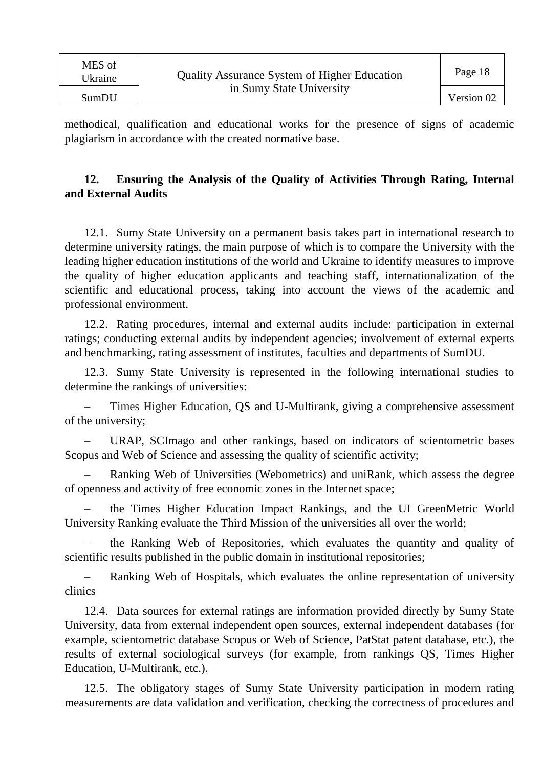| MES of<br>Ukraine | <b>Quality Assurance System of Higher Education</b> | Page 18    |
|-------------------|-----------------------------------------------------|------------|
| SumDU             | in Sumy State University                            | Version 02 |

methodical, qualification and educational works for the presence of signs of academic plagiarism in accordance with the created normative base.

#### **12. Ensuring the Analysis of the Quality of Activities Through Rating, Internal and External Audits**

12.1. Sumy State University on a permanent basis takes part in international research to determine university ratings, the main purpose of which is to compare the University with the leading higher education institutions of the world and Ukraine to identify measures to improve the quality of higher education applicants and teaching staff, internationalization of the scientific and educational process, taking into account the views of the academic and professional environment.

12.2. Rating procedures, internal and external audits include: participation in external ratings; conducting external audits by independent agencies; involvement of external experts and benchmarking, rating assessment of institutes, faculties and departments of SumDU.

12.3. Sumy State University is represented in the following international studies to determine the rankings of universities:

– Times Higher Education, QS and U-Multirank, giving a comprehensive assessment of the university;

– URAP, SCImago and other rankings, based on indicators of scientometric bases Scopus and Web of Science and assessing the quality of scientific activity;

– Ranking Web of Universities (Webometrics) and uniRank, which assess the degree of openness and activity of free economic zones in the Internet space;

– the Times Higher Education Impact Rankings, and the UI GreenMetric World University Ranking evaluate the Third Mission of the universities all over the world;

– the Ranking Web of Repositories, which evaluates the quantity and quality of scientific results published in the public domain in institutional repositories;

– Ranking Web of Hospitals, which evaluates the online representation of university clinics

12.4. Data sources for external ratings are information provided directly by Sumy State University, data from external independent open sources, external independent databases (for example, scientometric database Scopus or Web of Science, PatStat patent database, etc.), the results of external sociological surveys (for example, from rankings QS, Times Higher Education, U-Multirank, etc.).

12.5. The obligatory stages of Sumy State University participation in modern rating measurements are data validation and verification, checking the correctness of procedures and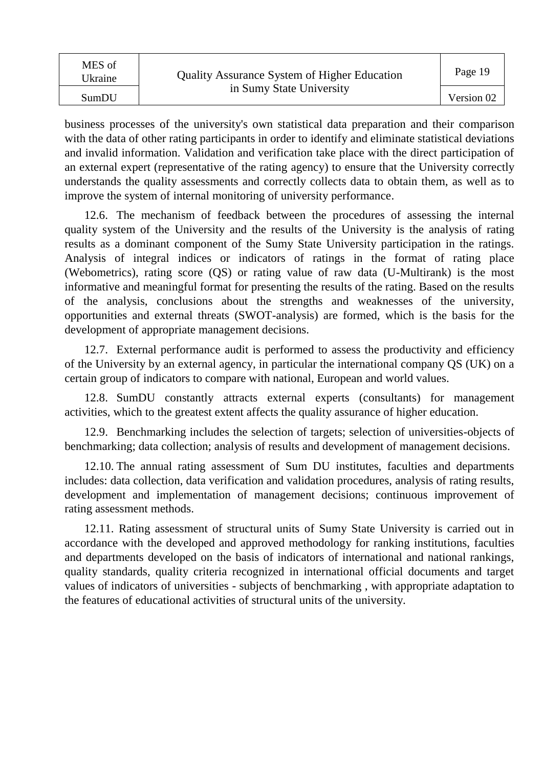| MES of<br>Ukraine | <b>Quality Assurance System of Higher Education</b> | Page 19    |
|-------------------|-----------------------------------------------------|------------|
| SumDU             | in Sumy State University                            | Version 02 |

business processes of the university's own statistical data preparation and their comparison with the data of other rating participants in order to identify and eliminate statistical deviations and invalid information. Validation and verification take place with the direct participation of an external expert (representative of the rating agency) to ensure that the University correctly understands the quality assessments and correctly collects data to obtain them, as well as to improve the system of internal monitoring of university performance.

12.6. The mechanism of feedback between the procedures of assessing the internal quality system of the University and the results of the University is the analysis of rating results as a dominant component of the Sumy State University participation in the ratings. Analysis of integral indices or indicators of ratings in the format of rating place (Webometrics), rating score (QS) or rating value of raw data (U-Multirank) is the most informative and meaningful format for presenting the results of the rating. Based on the results of the analysis, conclusions about the strengths and weaknesses of the university, opportunities and external threats (SWOT-analysis) are formed, which is the basis for the development of appropriate management decisions.

12.7. External performance audit is performed to assess the productivity and efficiency of the University by an external agency, in particular the international company QS (UK) on a certain group of indicators to compare with national, European and world values.

12.8. SumDU constantly attracts external experts (consultants) for management activities, which to the greatest extent affects the quality assurance of higher education.

12.9. Benchmarking includes the selection of targets; selection of universities-objects of benchmarking; data collection; analysis of results and development of management decisions.

12.10. The annual rating assessment of Sum DU institutes, faculties and departments includes: data collection, data verification and validation procedures, analysis of rating results, development and implementation of management decisions; continuous improvement of rating assessment methods.

12.11. Rating assessment of structural units of Sumy State University is carried out in accordance with the developed and approved methodology for ranking institutions, faculties and departments developed on the basis of indicators of international and national rankings, quality standards, quality criteria recognized in international official documents and target values of indicators of universities - subjects of benchmarking , with appropriate adaptation to the features of educational activities of structural units of the university.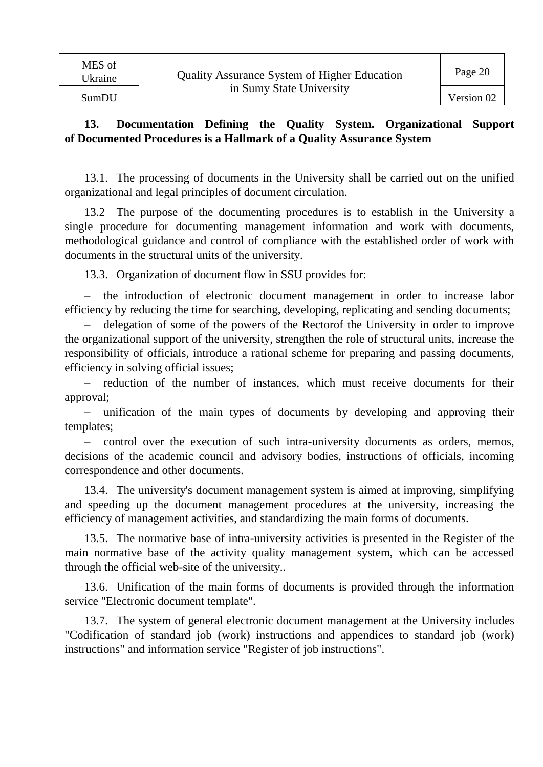#### **13. Documentation Defining the Quality System. Organizational Support of Documented Procedures is a Hallmark of a Quality Assurance System**

13.1. The processing of documents in the University shall be carried out on the unified organizational and legal principles of document circulation.

13.2 The purpose of the documenting procedures is to establish in the University a single procedure for documenting management information and work with documents, methodological guidance and control of compliance with the established order of work with documents in the structural units of the university.

13.3. Organization of document flow in SSU provides for:

 the introduction of electronic document management in order to increase labor efficiency by reducing the time for searching, developing, replicating and sending documents;

 delegation of some of the powers of the Rectorof the University in order to improve the organizational support of the university, strengthen the role of structural units, increase the responsibility of officials, introduce a rational scheme for preparing and passing documents, efficiency in solving official issues;

 reduction of the number of instances, which must receive documents for their approval;

 unification of the main types of documents by developing and approving their templates;

- control over the execution of such intra-university documents as orders, memos, decisions of the academic council and advisory bodies, instructions of officials, incoming correspondence and other documents.

13.4. The university's document management system is aimed at improving, simplifying and speeding up the document management procedures at the university, increasing the efficiency of management activities, and standardizing the main forms of documents.

13.5. The normative base of intra-university activities is presented in the Register of the main normative base of the activity quality management system, which can be accessed through the official web-site of the university..

13.6. Unification of the main forms of documents is provided through the information service "Electronic document template".

13.7. The system of general electronic document management at the University includes "Codification of standard job (work) instructions and appendices to standard job (work) instructions" and information service "Register of job instructions".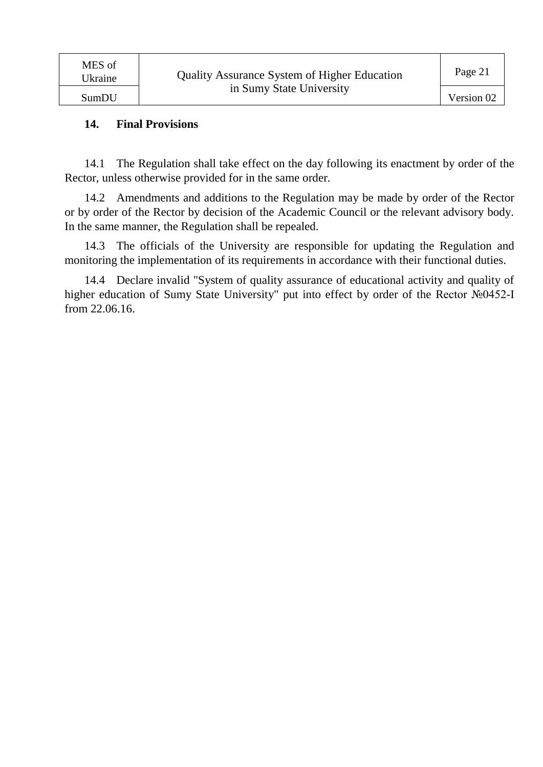#### **14. Final Provisions**

14.1 The Regulation shall take effect on the day following its enactment by order of the Rector, unless otherwise provided for in the same order.

14.2 Amendments and additions to the Regulation may be made by order of the Rector or by order of the Rector by decision of the Academic Council or the relevant advisory body. In the same manner, the Regulation shall be repealed.

14.3 The officials of the University are responsible for updating the Regulation and monitoring the implementation of its requirements in accordance with their functional duties.

14.4 Declare invalid "System of quality assurance of educational activity and quality of higher education of Sumy State University" put into effect by order of the Rector №0452-I from 22.06.16.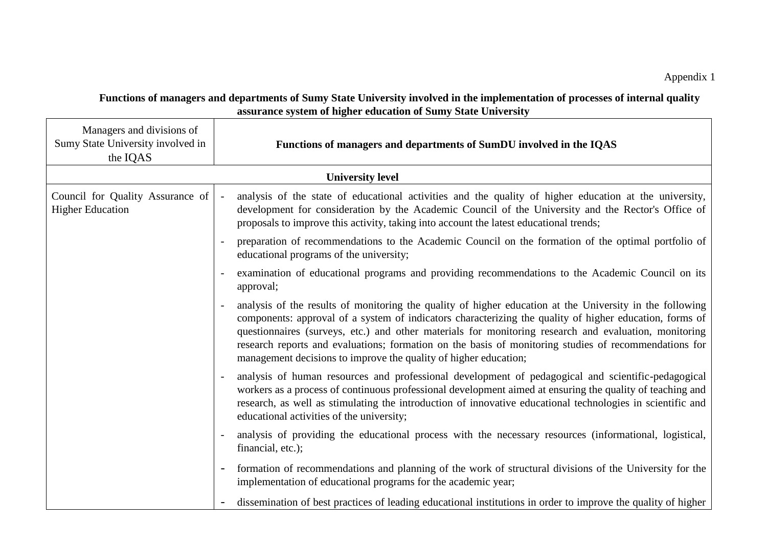| Functions of managers and departments of Sumy State University involved in the implementation of processes of internal quality |
|--------------------------------------------------------------------------------------------------------------------------------|
| assurance system of higher education of Sumy State University                                                                  |

| Managers and divisions of<br>Sumy State University involved in<br>the IQAS | Functions of managers and departments of SumDU involved in the IQAS                                                                                                                                                                                                                                                                                                                                                                                                                                       |
|----------------------------------------------------------------------------|-----------------------------------------------------------------------------------------------------------------------------------------------------------------------------------------------------------------------------------------------------------------------------------------------------------------------------------------------------------------------------------------------------------------------------------------------------------------------------------------------------------|
|                                                                            | <b>University level</b>                                                                                                                                                                                                                                                                                                                                                                                                                                                                                   |
| Council for Quality Assurance of<br><b>Higher Education</b>                | analysis of the state of educational activities and the quality of higher education at the university,<br>$\sim$<br>development for consideration by the Academic Council of the University and the Rector's Office of<br>proposals to improve this activity, taking into account the latest educational trends;                                                                                                                                                                                          |
|                                                                            | preparation of recommendations to the Academic Council on the formation of the optimal portfolio of<br>educational programs of the university;                                                                                                                                                                                                                                                                                                                                                            |
|                                                                            | examination of educational programs and providing recommendations to the Academic Council on its<br>approval;                                                                                                                                                                                                                                                                                                                                                                                             |
|                                                                            | analysis of the results of monitoring the quality of higher education at the University in the following<br>components: approval of a system of indicators characterizing the quality of higher education, forms of<br>questionnaires (surveys, etc.) and other materials for monitoring research and evaluation, monitoring<br>research reports and evaluations; formation on the basis of monitoring studies of recommendations for<br>management decisions to improve the quality of higher education; |
|                                                                            | analysis of human resources and professional development of pedagogical and scientific-pedagogical<br>workers as a process of continuous professional development aimed at ensuring the quality of teaching and<br>research, as well as stimulating the introduction of innovative educational technologies in scientific and<br>educational activities of the university;                                                                                                                                |
|                                                                            | analysis of providing the educational process with the necessary resources (informational, logistical,<br>financial, etc.);                                                                                                                                                                                                                                                                                                                                                                               |
|                                                                            | formation of recommendations and planning of the work of structural divisions of the University for the<br>$\overline{\phantom{a}}$<br>implementation of educational programs for the academic year;                                                                                                                                                                                                                                                                                                      |
|                                                                            | dissemination of best practices of leading educational institutions in order to improve the quality of higher                                                                                                                                                                                                                                                                                                                                                                                             |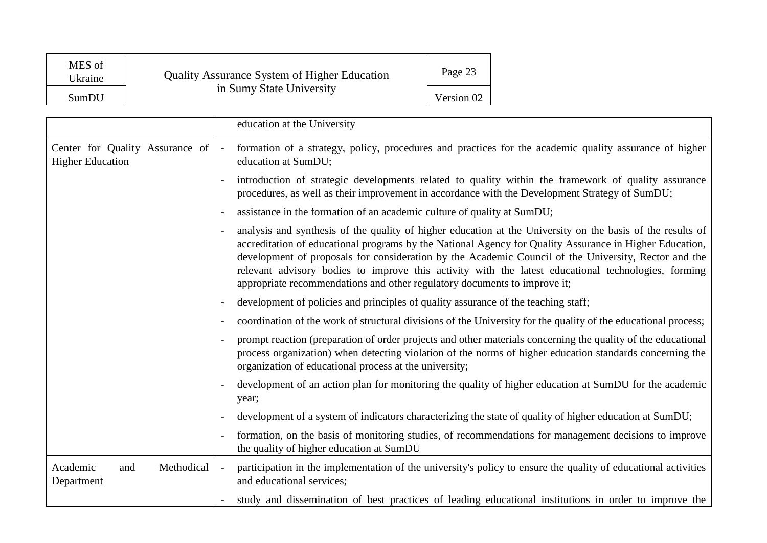| MES of<br>Ukraine | <b>Quality Assurance System of Higher Education</b> | Page 23    |
|-------------------|-----------------------------------------------------|------------|
| SumDU             | in Sumy State University                            | Version 02 |

|                                                            | education at the University                                                                                                                                                                                                                                                                                                                                                                                                                                                                                       |
|------------------------------------------------------------|-------------------------------------------------------------------------------------------------------------------------------------------------------------------------------------------------------------------------------------------------------------------------------------------------------------------------------------------------------------------------------------------------------------------------------------------------------------------------------------------------------------------|
| Center for Quality Assurance of<br><b>Higher Education</b> | formation of a strategy, policy, procedures and practices for the academic quality assurance of higher<br>$\overline{\phantom{a}}$<br>education at SumDU;                                                                                                                                                                                                                                                                                                                                                         |
|                                                            | introduction of strategic developments related to quality within the framework of quality assurance<br>procedures, as well as their improvement in accordance with the Development Strategy of SumDU;                                                                                                                                                                                                                                                                                                             |
|                                                            | assistance in the formation of an academic culture of quality at SumDU;                                                                                                                                                                                                                                                                                                                                                                                                                                           |
|                                                            | analysis and synthesis of the quality of higher education at the University on the basis of the results of<br>accreditation of educational programs by the National Agency for Quality Assurance in Higher Education,<br>development of proposals for consideration by the Academic Council of the University, Rector and the<br>relevant advisory bodies to improve this activity with the latest educational technologies, forming<br>appropriate recommendations and other regulatory documents to improve it; |
|                                                            | development of policies and principles of quality assurance of the teaching staff;                                                                                                                                                                                                                                                                                                                                                                                                                                |
|                                                            | coordination of the work of structural divisions of the University for the quality of the educational process;                                                                                                                                                                                                                                                                                                                                                                                                    |
|                                                            | prompt reaction (preparation of order projects and other materials concerning the quality of the educational<br>process organization) when detecting violation of the norms of higher education standards concerning the<br>organization of educational process at the university;                                                                                                                                                                                                                                |
|                                                            | development of an action plan for monitoring the quality of higher education at SumDU for the academic<br>year;                                                                                                                                                                                                                                                                                                                                                                                                   |
|                                                            | development of a system of indicators characterizing the state of quality of higher education at SumDU;                                                                                                                                                                                                                                                                                                                                                                                                           |
|                                                            | formation, on the basis of monitoring studies, of recommendations for management decisions to improve<br>the quality of higher education at SumDU                                                                                                                                                                                                                                                                                                                                                                 |
| Academic<br>Methodical<br>and<br>Department                | participation in the implementation of the university's policy to ensure the quality of educational activities<br>and educational services;                                                                                                                                                                                                                                                                                                                                                                       |
|                                                            | study and dissemination of best practices of leading educational institutions in order to improve the                                                                                                                                                                                                                                                                                                                                                                                                             |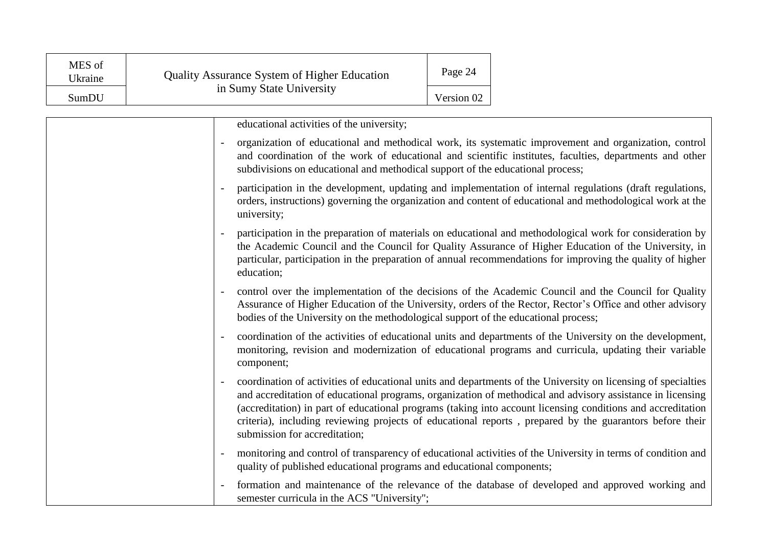| MES of<br>Ukraine | <b>Quality Assurance System of Higher Education</b> | Page 24    |
|-------------------|-----------------------------------------------------|------------|
| SumDU             | in Sumy State University                            | Version 02 |

|                          | educational activities of the university;                                                                                                                                                                                                                                                                                                                                                                                                                                              |
|--------------------------|----------------------------------------------------------------------------------------------------------------------------------------------------------------------------------------------------------------------------------------------------------------------------------------------------------------------------------------------------------------------------------------------------------------------------------------------------------------------------------------|
|                          | organization of educational and methodical work, its systematic improvement and organization, control<br>and coordination of the work of educational and scientific institutes, faculties, departments and other<br>subdivisions on educational and methodical support of the educational process;                                                                                                                                                                                     |
|                          | participation in the development, updating and implementation of internal regulations (draft regulations,<br>orders, instructions) governing the organization and content of educational and methodological work at the<br>university;                                                                                                                                                                                                                                                 |
|                          | participation in the preparation of materials on educational and methodological work for consideration by<br>the Academic Council and the Council for Quality Assurance of Higher Education of the University, in<br>particular, participation in the preparation of annual recommendations for improving the quality of higher<br>education;                                                                                                                                          |
|                          | control over the implementation of the decisions of the Academic Council and the Council for Quality<br>Assurance of Higher Education of the University, orders of the Rector, Rector's Office and other advisory<br>bodies of the University on the methodological support of the educational process;                                                                                                                                                                                |
| $\overline{\phantom{a}}$ | coordination of the activities of educational units and departments of the University on the development,<br>monitoring, revision and modernization of educational programs and curricula, updating their variable<br>component;                                                                                                                                                                                                                                                       |
|                          | coordination of activities of educational units and departments of the University on licensing of specialties<br>and accreditation of educational programs, organization of methodical and advisory assistance in licensing<br>(accreditation) in part of educational programs (taking into account licensing conditions and accreditation<br>criteria), including reviewing projects of educational reports, prepared by the guarantors before their<br>submission for accreditation; |
|                          | monitoring and control of transparency of educational activities of the University in terms of condition and<br>quality of published educational programs and educational components;                                                                                                                                                                                                                                                                                                  |
| $\overline{\phantom{a}}$ | formation and maintenance of the relevance of the database of developed and approved working and<br>semester curricula in the ACS "University";                                                                                                                                                                                                                                                                                                                                        |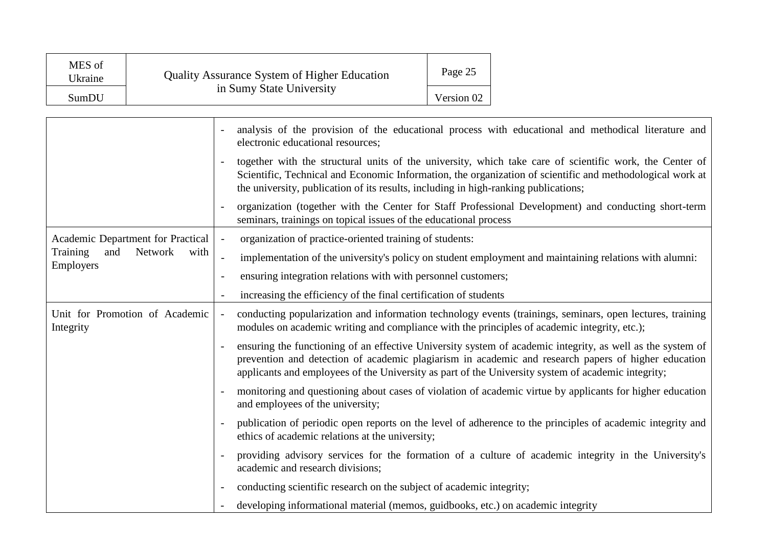| MES of<br>Ukraine | <b>Quality Assurance System of Higher Education</b> | Page 25    |
|-------------------|-----------------------------------------------------|------------|
| SumDU             | in Sumy State University                            | Version 02 |

|                                                 |                          | analysis of the provision of the educational process with educational and methodical literature and<br>electronic educational resources;                                                                                                                                                                                |
|-------------------------------------------------|--------------------------|-------------------------------------------------------------------------------------------------------------------------------------------------------------------------------------------------------------------------------------------------------------------------------------------------------------------------|
|                                                 |                          | together with the structural units of the university, which take care of scientific work, the Center of<br>Scientific, Technical and Economic Information, the organization of scientific and methodological work at<br>the university, publication of its results, including in high-ranking publications;             |
|                                                 |                          | organization (together with the Center for Staff Professional Development) and conducting short-term<br>seminars, trainings on topical issues of the educational process                                                                                                                                                |
| Academic Department for Practical               | $\overline{\phantom{a}}$ | organization of practice-oriented training of students:                                                                                                                                                                                                                                                                 |
| and<br>Network<br>Training<br>with<br>Employers | $\blacksquare$           | implementation of the university's policy on student employment and maintaining relations with alumni:                                                                                                                                                                                                                  |
|                                                 |                          | ensuring integration relations with with personnel customers;                                                                                                                                                                                                                                                           |
|                                                 |                          | increasing the efficiency of the final certification of students                                                                                                                                                                                                                                                        |
| Unit for Promotion of Academic<br>Integrity     |                          | conducting popularization and information technology events (trainings, seminars, open lectures, training<br>modules on academic writing and compliance with the principles of academic integrity, etc.);                                                                                                               |
|                                                 |                          | ensuring the functioning of an effective University system of academic integrity, as well as the system of<br>prevention and detection of academic plagiarism in academic and research papers of higher education<br>applicants and employees of the University as part of the University system of academic integrity; |
|                                                 |                          | monitoring and questioning about cases of violation of academic virtue by applicants for higher education<br>and employees of the university;                                                                                                                                                                           |
|                                                 |                          | publication of periodic open reports on the level of adherence to the principles of academic integrity and<br>ethics of academic relations at the university;                                                                                                                                                           |
|                                                 |                          | providing advisory services for the formation of a culture of academic integrity in the University's<br>academic and research divisions;                                                                                                                                                                                |
|                                                 |                          | conducting scientific research on the subject of academic integrity;                                                                                                                                                                                                                                                    |
|                                                 |                          | developing informational material (memos, guidbooks, etc.) on academic integrity                                                                                                                                                                                                                                        |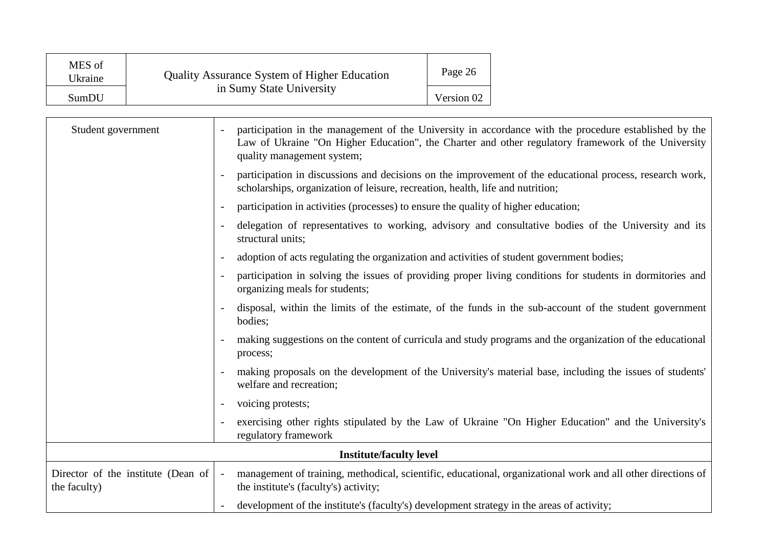| MES of<br>Ukraine<br>SumDU | <b>Quality Assurance System of Higher Education</b><br>in Sumy State University |  |                                                                                                                                                                                                                                           | Page 26<br>Version 02 |                                                                                                           |
|----------------------------|---------------------------------------------------------------------------------|--|-------------------------------------------------------------------------------------------------------------------------------------------------------------------------------------------------------------------------------------------|-----------------------|-----------------------------------------------------------------------------------------------------------|
| Student government         |                                                                                 |  | participation in the management of the University in accordance with the procedure established by the<br>Law of Ukraine "On Higher Education", the Charter and other regulatory framework of the University<br>quality management system; |                       |                                                                                                           |
|                            |                                                                                 |  | participation in discussions and decisions on the improvement of the educational process, research work,<br>scholarships, organization of leisure, recreation, health, life and nutrition;                                                |                       |                                                                                                           |
|                            |                                                                                 |  | participation in activities (processes) to ensure the quality of higher education;                                                                                                                                                        |                       |                                                                                                           |
|                            |                                                                                 |  | delegation of representatives to working, advisory and consultative bodies of the University and its<br>structural units;                                                                                                                 |                       |                                                                                                           |
|                            |                                                                                 |  | adoption of acts regulating the organization and activities of student government bodies;                                                                                                                                                 |                       |                                                                                                           |
|                            |                                                                                 |  | participation in solving the issues of providing proper living conditions for students in dormitories and<br>organizing meals for students;                                                                                               |                       |                                                                                                           |
|                            |                                                                                 |  | disposal, within the limits of the estimate, of the funds in the sub-account of the student government<br>bodies;                                                                                                                         |                       |                                                                                                           |
|                            |                                                                                 |  | process;                                                                                                                                                                                                                                  |                       | making suggestions on the content of curricula and study programs and the organization of the educational |
|                            |                                                                                 |  | welfare and recreation;                                                                                                                                                                                                                   |                       | making proposals on the development of the University's material base, including the issues of students'  |
|                            |                                                                                 |  | voicing protests;                                                                                                                                                                                                                         |                       |                                                                                                           |
|                            |                                                                                 |  | regulatory framework                                                                                                                                                                                                                      |                       | exercising other rights stipulated by the Law of Ukraine "On Higher Education" and the University's       |
|                            | <b>Institute/faculty level</b>                                                  |  |                                                                                                                                                                                                                                           |                       |                                                                                                           |
| the faculty)               | Director of the institute (Dean of                                              |  | management of training, methodical, scientific, educational, organizational work and all other directions of<br>the institute's (faculty's) activity;                                                                                     |                       |                                                                                                           |
|                            |                                                                                 |  | development of the institute's (faculty's) development strategy in the areas of activity;                                                                                                                                                 |                       |                                                                                                           |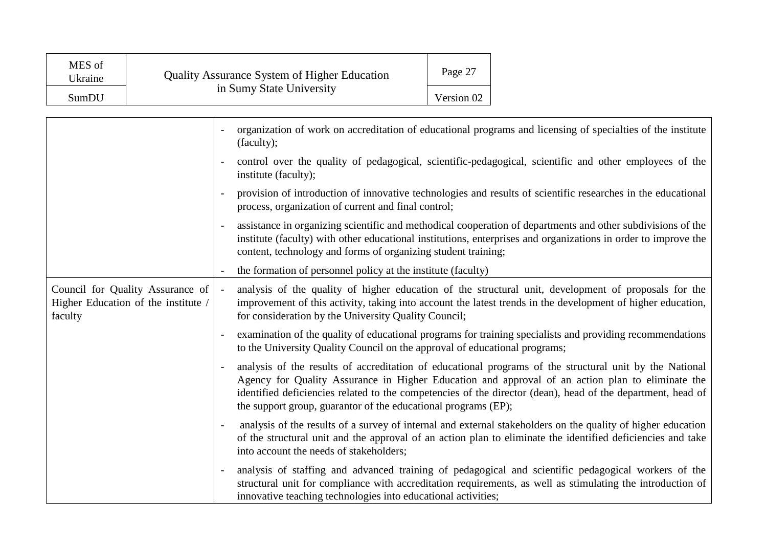| MES of<br>Ukraine | <b>Quality Assurance System of Higher Education</b><br>in Sumy State University | Page 27    |
|-------------------|---------------------------------------------------------------------------------|------------|
| SumDU             |                                                                                 | Version 02 |

|                                                                                    | organization of work on accreditation of educational programs and licensing of specialties of the institute<br>(faculty);                                                                                                                                                                                                                                                                    |
|------------------------------------------------------------------------------------|----------------------------------------------------------------------------------------------------------------------------------------------------------------------------------------------------------------------------------------------------------------------------------------------------------------------------------------------------------------------------------------------|
|                                                                                    | control over the quality of pedagogical, scientific-pedagogical, scientific and other employees of the<br>institute (faculty);                                                                                                                                                                                                                                                               |
|                                                                                    | provision of introduction of innovative technologies and results of scientific researches in the educational<br>process, organization of current and final control;                                                                                                                                                                                                                          |
|                                                                                    | assistance in organizing scientific and methodical cooperation of departments and other subdivisions of the<br>institute (faculty) with other educational institutions, enterprises and organizations in order to improve the<br>content, technology and forms of organizing student training;                                                                                               |
|                                                                                    | the formation of personnel policy at the institute (faculty)                                                                                                                                                                                                                                                                                                                                 |
| Council for Quality Assurance of<br>Higher Education of the institute /<br>faculty | analysis of the quality of higher education of the structural unit, development of proposals for the<br>improvement of this activity, taking into account the latest trends in the development of higher education,<br>for consideration by the University Quality Council;                                                                                                                  |
|                                                                                    | examination of the quality of educational programs for training specialists and providing recommendations<br>to the University Quality Council on the approval of educational programs;                                                                                                                                                                                                      |
|                                                                                    | analysis of the results of accreditation of educational programs of the structural unit by the National<br>Agency for Quality Assurance in Higher Education and approval of an action plan to eliminate the<br>identified deficiencies related to the competencies of the director (dean), head of the department, head of<br>the support group, guarantor of the educational programs (EP); |
|                                                                                    | analysis of the results of a survey of internal and external stakeholders on the quality of higher education<br>of the structural unit and the approval of an action plan to eliminate the identified deficiencies and take<br>into account the needs of stakeholders;                                                                                                                       |
|                                                                                    | analysis of staffing and advanced training of pedagogical and scientific pedagogical workers of the<br>structural unit for compliance with accreditation requirements, as well as stimulating the introduction of<br>innovative teaching technologies into educational activities;                                                                                                           |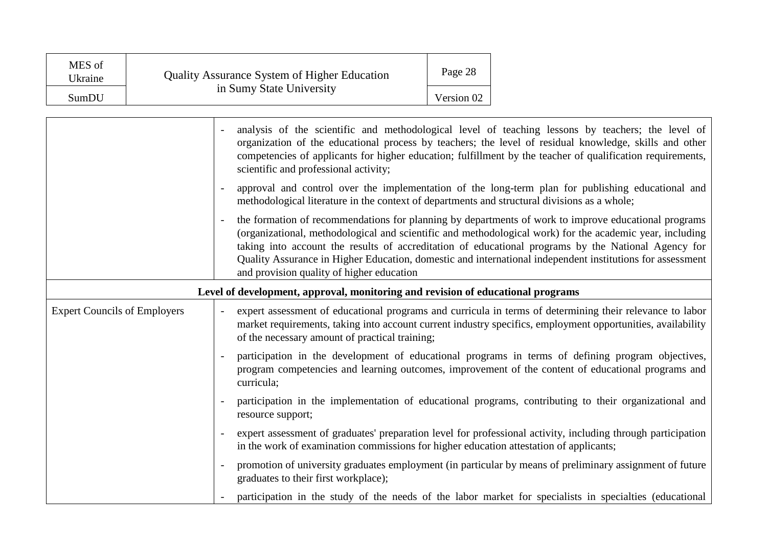| MES of<br>Ukraine | <b>Quality Assurance System of Higher Education</b> | Page 28    |
|-------------------|-----------------------------------------------------|------------|
| SumDU             | in Sumy State University                            | Version 02 |

|                                     | analysis of the scientific and methodological level of teaching lessons by teachers; the level of<br>organization of the educational process by teachers; the level of residual knowledge, skills and other<br>competencies of applicants for higher education; fulfillment by the teacher of qualification requirements,<br>scientific and professional activity;                                                                                                                |
|-------------------------------------|-----------------------------------------------------------------------------------------------------------------------------------------------------------------------------------------------------------------------------------------------------------------------------------------------------------------------------------------------------------------------------------------------------------------------------------------------------------------------------------|
|                                     | approval and control over the implementation of the long-term plan for publishing educational and<br>methodological literature in the context of departments and structural divisions as a whole;                                                                                                                                                                                                                                                                                 |
|                                     | the formation of recommendations for planning by departments of work to improve educational programs<br>(organizational, methodological and scientific and methodological work) for the academic year, including<br>taking into account the results of accreditation of educational programs by the National Agency for<br>Quality Assurance in Higher Education, domestic and international independent institutions for assessment<br>and provision quality of higher education |
|                                     | Level of development, approval, monitoring and revision of educational programs                                                                                                                                                                                                                                                                                                                                                                                                   |
| <b>Expert Councils of Employers</b> | expert assessment of educational programs and curricula in terms of determining their relevance to labor<br>market requirements, taking into account current industry specifics, employment opportunities, availability<br>of the necessary amount of practical training;                                                                                                                                                                                                         |
|                                     | participation in the development of educational programs in terms of defining program objectives,<br>program competencies and learning outcomes, improvement of the content of educational programs and<br>curricula;                                                                                                                                                                                                                                                             |
|                                     | participation in the implementation of educational programs, contributing to their organizational and<br>resource support;                                                                                                                                                                                                                                                                                                                                                        |
|                                     | expert assessment of graduates' preparation level for professional activity, including through participation<br>in the work of examination commissions for higher education attestation of applicants;                                                                                                                                                                                                                                                                            |
|                                     | promotion of university graduates employment (in particular by means of preliminary assignment of future<br>graduates to their first workplace);                                                                                                                                                                                                                                                                                                                                  |
|                                     | participation in the study of the needs of the labor market for specialists in specialties (educational                                                                                                                                                                                                                                                                                                                                                                           |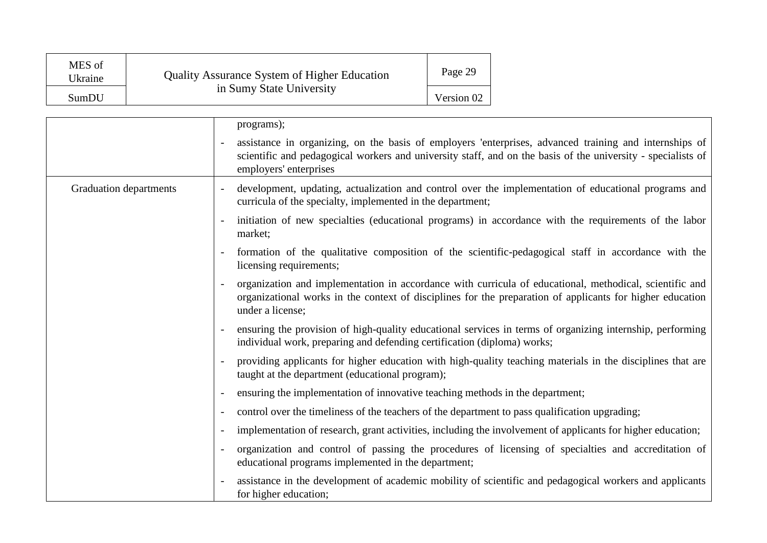| MES of<br>Ukraine | <b>Quality Assurance System of Higher Education</b><br>in Sumy State University | Page 29    |
|-------------------|---------------------------------------------------------------------------------|------------|
| SumDU             |                                                                                 | Version 02 |

|                        | programs);                                                                                                                                                                                                                                       |
|------------------------|--------------------------------------------------------------------------------------------------------------------------------------------------------------------------------------------------------------------------------------------------|
|                        | assistance in organizing, on the basis of employers 'enterprises, advanced training and internships of<br>scientific and pedagogical workers and university staff, and on the basis of the university - specialists of<br>employers' enterprises |
| Graduation departments | development, updating, actualization and control over the implementation of educational programs and<br>curricula of the specialty, implemented in the department;                                                                               |
|                        | initiation of new specialties (educational programs) in accordance with the requirements of the labor<br>market;                                                                                                                                 |
|                        | formation of the qualitative composition of the scientific-pedagogical staff in accordance with the<br>licensing requirements;                                                                                                                   |
|                        | organization and implementation in accordance with curricula of educational, methodical, scientific and<br>organizational works in the context of disciplines for the preparation of applicants for higher education<br>under a license;         |
|                        | ensuring the provision of high-quality educational services in terms of organizing internship, performing<br>individual work, preparing and defending certification (diploma) works;                                                             |
|                        | providing applicants for higher education with high-quality teaching materials in the disciplines that are<br>taught at the department (educational program);                                                                                    |
|                        | ensuring the implementation of innovative teaching methods in the department;                                                                                                                                                                    |
|                        | control over the timeliness of the teachers of the department to pass qualification upgrading;                                                                                                                                                   |
|                        | implementation of research, grant activities, including the involvement of applicants for higher education;                                                                                                                                      |
|                        | organization and control of passing the procedures of licensing of specialties and accreditation of<br>educational programs implemented in the department;                                                                                       |
|                        | assistance in the development of academic mobility of scientific and pedagogical workers and applicants<br>for higher education;                                                                                                                 |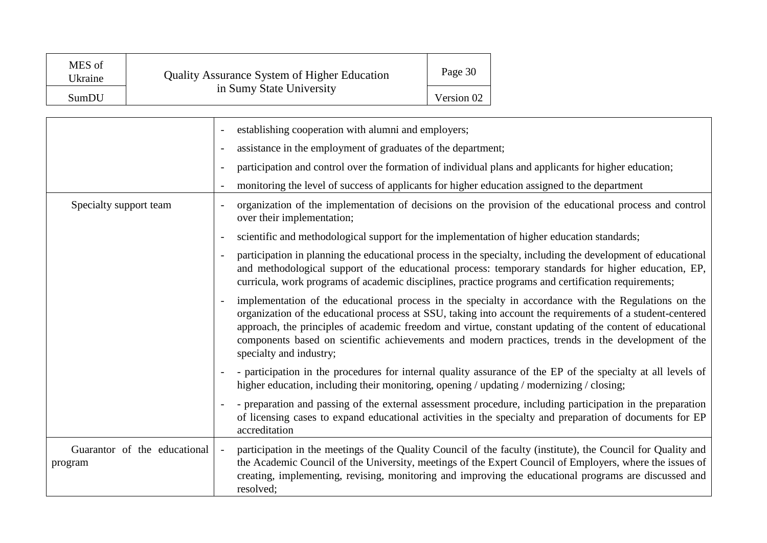| MES of<br>Ukraine | <b>Quality Assurance System of Higher Education</b><br>in Sumy State University | Page 30    |
|-------------------|---------------------------------------------------------------------------------|------------|
| SumDU             |                                                                                 | Version 02 |

|                                         | establishing cooperation with alumni and employers;                                                                                                                                                                                                                                                                                                                                                                                                             |
|-----------------------------------------|-----------------------------------------------------------------------------------------------------------------------------------------------------------------------------------------------------------------------------------------------------------------------------------------------------------------------------------------------------------------------------------------------------------------------------------------------------------------|
|                                         | assistance in the employment of graduates of the department;                                                                                                                                                                                                                                                                                                                                                                                                    |
|                                         | participation and control over the formation of individual plans and applicants for higher education;                                                                                                                                                                                                                                                                                                                                                           |
|                                         | monitoring the level of success of applicants for higher education assigned to the department                                                                                                                                                                                                                                                                                                                                                                   |
| Specialty support team                  | organization of the implementation of decisions on the provision of the educational process and control<br>over their implementation;                                                                                                                                                                                                                                                                                                                           |
|                                         | scientific and methodological support for the implementation of higher education standards;                                                                                                                                                                                                                                                                                                                                                                     |
|                                         | participation in planning the educational process in the specialty, including the development of educational<br>and methodological support of the educational process: temporary standards for higher education, EP,<br>curricula, work programs of academic disciplines, practice programs and certification requirements;                                                                                                                                     |
|                                         | implementation of the educational process in the specialty in accordance with the Regulations on the<br>organization of the educational process at SSU, taking into account the requirements of a student-centered<br>approach, the principles of academic freedom and virtue, constant updating of the content of educational<br>components based on scientific achievements and modern practices, trends in the development of the<br>specialty and industry; |
|                                         | - participation in the procedures for internal quality assurance of the EP of the specialty at all levels of<br>higher education, including their monitoring, opening / updating / modernizing / closing;                                                                                                                                                                                                                                                       |
|                                         | - preparation and passing of the external assessment procedure, including participation in the preparation<br>of licensing cases to expand educational activities in the specialty and preparation of documents for EP<br>accreditation                                                                                                                                                                                                                         |
| Guarantor of the educational<br>program | participation in the meetings of the Quality Council of the faculty (institute), the Council for Quality and<br>the Academic Council of the University, meetings of the Expert Council of Employers, where the issues of<br>creating, implementing, revising, monitoring and improving the educational programs are discussed and<br>resolved;                                                                                                                  |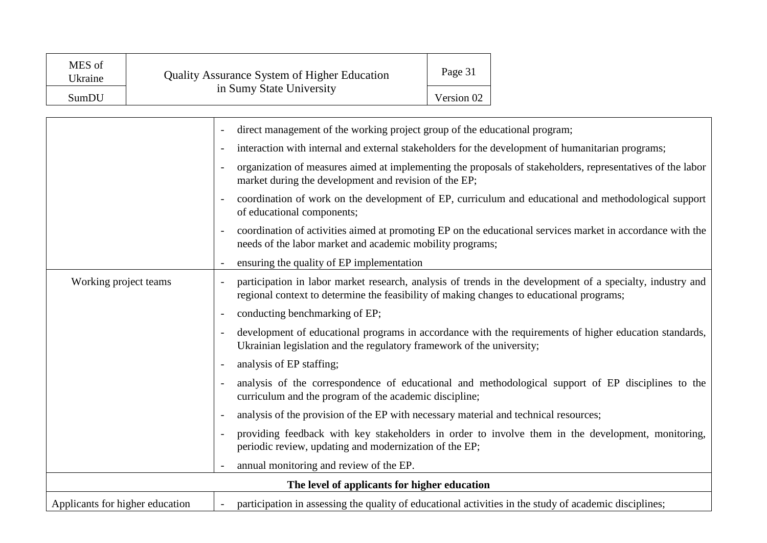| MES of<br>Ukraine | Quality Assurance System of Higher Education<br>in Sumy State University | Page 31    |
|-------------------|--------------------------------------------------------------------------|------------|
| SumDU             |                                                                          | Version 02 |

|                                 | direct management of the working project group of the educational program;                                                                                                                             |
|---------------------------------|--------------------------------------------------------------------------------------------------------------------------------------------------------------------------------------------------------|
|                                 | interaction with internal and external stakeholders for the development of humanitarian programs;                                                                                                      |
|                                 | organization of measures aimed at implementing the proposals of stakeholders, representatives of the labor<br>market during the development and revision of the EP;                                    |
|                                 | coordination of work on the development of EP, curriculum and educational and methodological support<br>of educational components;                                                                     |
|                                 | coordination of activities aimed at promoting EP on the educational services market in accordance with the<br>needs of the labor market and academic mobility programs;                                |
|                                 | ensuring the quality of EP implementation                                                                                                                                                              |
| Working project teams           | participation in labor market research, analysis of trends in the development of a specialty, industry and<br>regional context to determine the feasibility of making changes to educational programs; |
|                                 | conducting benchmarking of EP;                                                                                                                                                                         |
|                                 | development of educational programs in accordance with the requirements of higher education standards,<br>Ukrainian legislation and the regulatory framework of the university;                        |
|                                 | analysis of EP staffing;                                                                                                                                                                               |
|                                 | analysis of the correspondence of educational and methodological support of EP disciplines to the<br>curriculum and the program of the academic discipline;                                            |
|                                 | analysis of the provision of the EP with necessary material and technical resources;                                                                                                                   |
|                                 | providing feedback with key stakeholders in order to involve them in the development, monitoring,<br>periodic review, updating and modernization of the EP;                                            |
|                                 | annual monitoring and review of the EP.                                                                                                                                                                |
|                                 | The level of applicants for higher education                                                                                                                                                           |
| Applicants for higher education | participation in assessing the quality of educational activities in the study of academic disciplines;                                                                                                 |